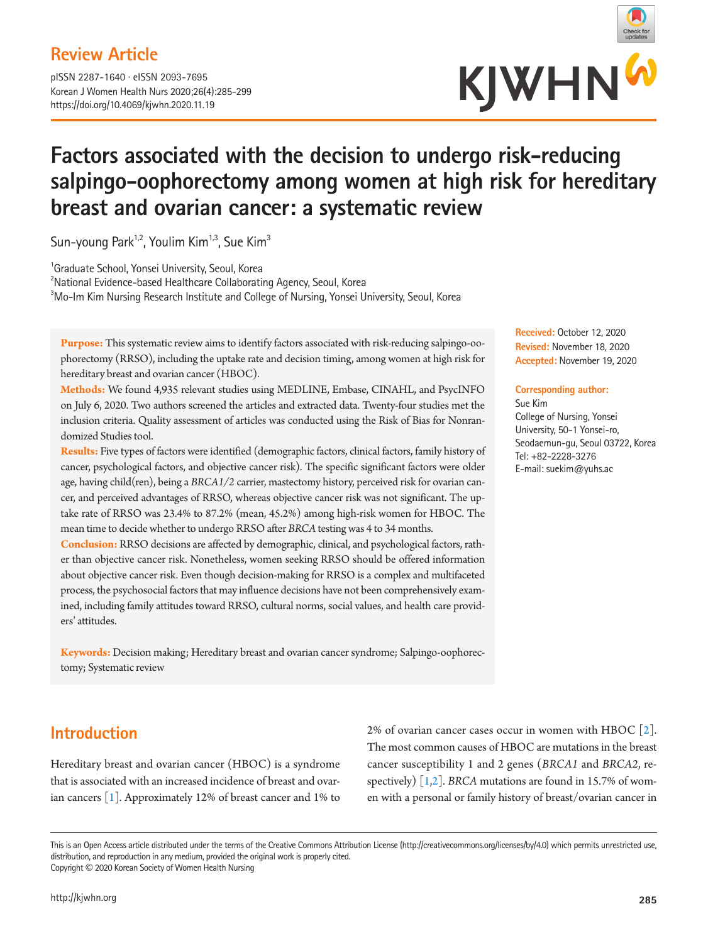## **Review Article**

pISSN 2287-1640 · eISSN 2093-7695 Korean J Women Health Nurs 2020;26(4):285-299 https://doi.org/10.4069/kjwhn.2020.11.19



# **Factors associated with the decision to undergo risk-reducing salpingo-oophorectomy among women at high risk for hereditary breast and ovarian cancer: a systematic review**

Sun-young Park<sup>1,2</sup>, Youlim Kim<sup>1,3</sup>, Sue Kim<sup>3</sup>

<sup>1</sup>Graduate School, Yonsei University, Seoul, Korea

2 National Evidence-based Healthcare Collaborating Agency, Seoul, Korea  ${}^{3}$ Mo-Im Kim Nursing Research Institute and College of Nursing, Yonsei University, Seoul, Korea

**Purpose:** This systematic review aims to identify factors associated with risk-reducing salpingo-oophorectomy (RRSO), including the uptake rate and decision timing, among women at high risk for hereditary breast and ovarian cancer (HBOC).

**Methods:** We found 4,935 relevant studies using MEDLINE, Embase, CINAHL, and PsycINFO on July 6, 2020. Two authors screened the articles and extracted data. Twenty-four studies met the inclusion criteria. Quality assessment of articles was conducted using the Risk of Bias for Nonrandomized Studies tool.

**Results:** Five types of factors were identified (demographic factors, clinical factors, family history of cancer, psychological factors, and objective cancer risk). The specific significant factors were older age, having child(ren), being a *BRCA1/2* carrier, mastectomy history, perceived risk for ovarian cancer, and perceived advantages of RRSO, whereas objective cancer risk was not significant. The uptake rate of RRSO was 23.4% to 87.2% (mean, 45.2%) among high-risk women for HBOC. The mean time to decide whether to undergo RRSO after *BRCA* testing was 4 to 34 months.

**Conclusion:** RRSO decisions are affected by demographic, clinical, and psychological factors, rather than objective cancer risk. Nonetheless, women seeking RRSO should be offered information about objective cancer risk. Even though decision-making for RRSO is a complex and multifaceted process, the psychosocial factors that may influence decisions have not been comprehensively examined, including family attitudes toward RRSO, cultural norms, social values, and health care providers' attitudes.

**Keywords:** Decision making; Hereditary breast and ovarian cancer syndrome; Salpingo-oophorectomy; Systematic review

#### **Received:** October 12, 2020 **Revised:** November 18, 2020 **Accepted:** November 19, 2020

#### **Corresponding author:**

Sue Kim College of Nursing, Yonsei University, 50-1 Yonsei-ro, Seodaemun-gu, Seoul 03722, Korea Tel: +82-2228-3276 E-mail: suekim@yuhs.ac

## **Introduction**

Hereditary breast and ovarian cancer (HBOC) is a syndrome that is associated with an increased incidence of breast and ovarian cancers [[1](#page-12-0)]. Approximately 12% of breast cancer and 1% to 2% of ovarian cancer cases occur in women with HBOC [\[2\]](#page-12-0). The most common causes of HBOC are mutations in the breast cancer susceptibility 1 and 2 genes (*BRCA1* and *BRCA2*, respectively) [\[1,2\]](#page-12-0). *BRCA* mutations are found in 15.7% of women with a personal or family history of breast/ovarian cancer in

This is an Open Access article distributed under the terms of the Creative Commons Attribution License (http://creativecommons.org/licenses/by/4.0) which permits unrestricted use, distribution, and reproduction in any medium, provided the original work is properly cited. Copyright © 2020 Korean Society of Women Health Nursing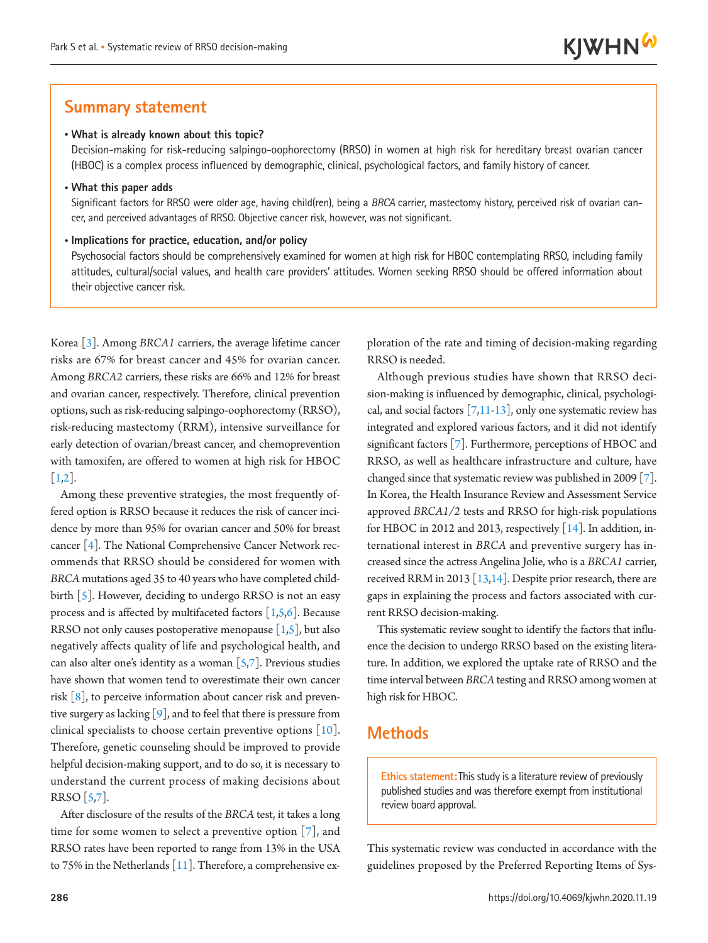## **Summary statement**

#### • **What is already known about this topic?**

Decision-making for risk-reducing salpingo-oophorectomy (RRSO) in women at high risk for hereditary breast ovarian cancer (HBOC) is a complex process influenced by demographic, clinical, psychological factors, and family history of cancer.

• **What this paper adds**

Significant factors for RRSO were older age, having child(ren), being a *BRCA* carrier, mastectomy history, perceived risk of ovarian cancer, and perceived advantages of RRSO. Objective cancer risk, however, was not significant.

#### • **Implications for practice, education, and/or policy**

Psychosocial factors should be comprehensively examined for women at high risk for HBOC contemplating RRSO, including family attitudes, cultural/social values, and health care providers' attitudes. Women seeking RRSO should be offered information about their objective cancer risk.

Korea [\[3](#page-12-1)]. Among *BRCA1* carriers, the average lifetime cancer risks are 67% for breast cancer and 45% for ovarian cancer. Among *BRCA2* carriers, these risks are 66% and 12% for breast and ovarian cancer, respectively. Therefore, clinical prevention options, such as risk-reducing salpingo-oophorectomy (RRSO), risk-reducing mastectomy (RRM), intensive surveillance for early detection of ovarian/breast cancer, and chemoprevention with tamoxifen, are offered to women at high risk for HBOC  $[1,2]$  $[1,2]$ .

Among these preventive strategies, the most frequently offered option is RRSO because it reduces the risk of cancer incidence by more than 95% for ovarian cancer and 50% for breast cancer [\[4\]](#page-12-2). The National Comprehensive Cancer Network recommends that RRSO should be considered for women with *BRCA* mutations aged 35 to 40 years who have completed childbirth [\[5\]](#page-12-3). However, deciding to undergo RRSO is not an easy process and is affected by multifaceted factors  $[1,5,6]$  $[1,5,6]$  $[1,5,6]$ . Because RRSO not only causes postoperative menopause  $[1,5]$ , but also negatively affects quality of life and psychological health, and can also alter one's identity as a woman  $[5,7]$  $[5,7]$  $[5,7]$ . Previous studies have shown that women tend to overestimate their own cancer risk  $\lceil 8 \rceil$ , to perceive information about cancer risk and preventive surgery as lacking  $[9]$ , and to feel that there is pressure from clinical specialists to choose certain preventive options [\[10](#page-12-8)]. Therefore, genetic counseling should be improved to provide helpful decision-making support, and to do so, it is necessary to understand the current process of making decisions about RRSO [5[,7\]](#page-12-5).

After disclosure of the results of the *BRCA* test, it takes a long time for some women to select a preventive option  $[7]$  $[7]$ , and RRSO rates have been reported to range from 13% in the USA to 75% in the Netherlands  $[11]$  $[11]$ . Therefore, a comprehensive exploration of the rate and timing of decision-making regarding RRSO is needed.

Although previous studies have shown that RRSO decision-making is influenced by demographic, clinical, psychological, and social factors  $[7,11-13]$  $[7,11-13]$  $[7,11-13]$ , only one systematic review has integrated and explored various factors, and it did not identify significant factors [[7\]](#page-12-5). Furthermore, perceptions of HBOC and RRSO, as well as healthcare infrastructure and culture, have changed since that systematic review was published in 2009 [\[7\]](#page-12-5). In Korea, the Health Insurance Review and Assessment Service approved *BRCA1/2* tests and RRSO for high-risk populations for HBOC in 2012 and 2013, respectively [\[14\]](#page-12-9). In addition, international interest in *BRCA* and preventive surgery has increased since the actress Angelina Jolie, who is a *BRCA1* carrier, received RRM in 2013 [\[13](#page-12-8)[,14\]](#page-12-9). Despite prior research, there are gaps in explaining the process and factors associated with current RRSO decision-making.

This systematic review sought to identify the factors that influence the decision to undergo RRSO based on the existing literature. In addition, we explored the uptake rate of RRSO and the time interval between *BRCA* testing and RRSO among women at high risk for HBOC.

## **Methods**

**Ethics statement:**This study is a literature review of previously published studies and was therefore exempt from institutional review board approval.

This systematic review was conducted in accordance with the guidelines proposed by the Preferred Reporting Items of Sys-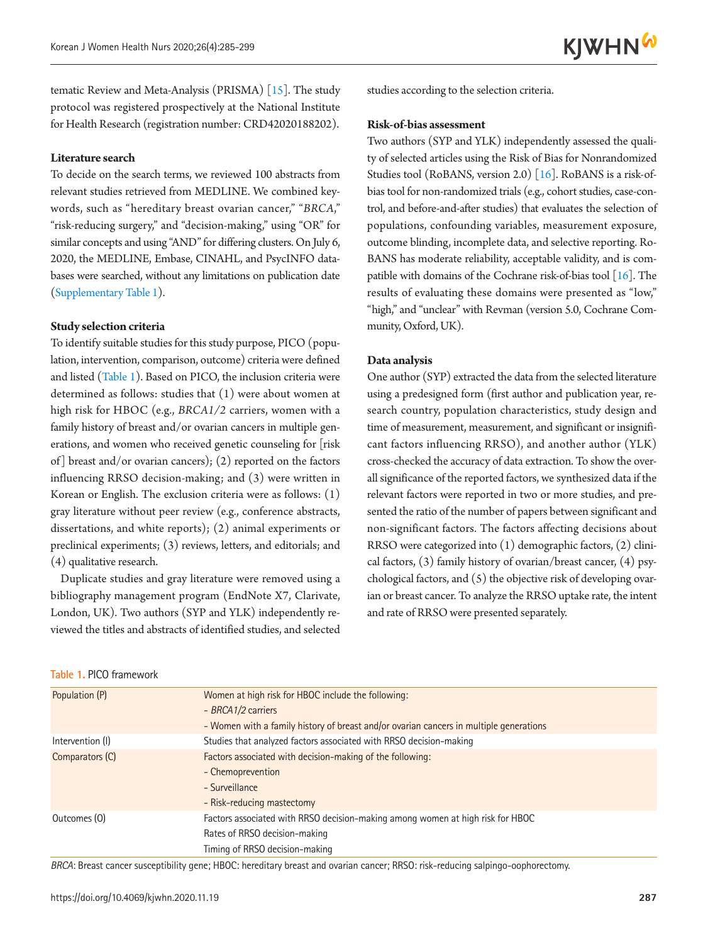**KJWHN<sup>W</sup>** 

tematic Review and Meta-Analysis (PRISMA) [[15](#page-12-10)]. The study protocol was registered prospectively at the National Institute for Health Research (registration number: CRD42020188202).

#### **Literature search**

To decide on the search terms, we reviewed 100 abstracts from relevant studies retrieved from MEDLINE. We combined keywords, such as "hereditary breast ovarian cancer," "*BRCA*," "risk-reducing surgery," and "decision-making," using "OR" for similar concepts and using "AND" for differing clusters. On July 6, 2020, the MEDLINE, Embase, CINAHL, and PsycINFO databases were searched, without any limitations on publication date (Supplementary Table 1).

#### **Study selection criteria**

**Table 1.** PICO framework

To identify suitable studies for this study purpose, PICO (population, intervention, comparison, outcome) criteria were defined and listed (Table 1). Based on PICO, the inclusion criteria were determined as follows: studies that (1) were about women at high risk for HBOC (e.g., *BRCA1/2* carriers, women with a family history of breast and/or ovarian cancers in multiple generations, and women who received genetic counseling for [risk of] breast and/or ovarian cancers); (2) reported on the factors influencing RRSO decision-making; and (3) were written in Korean or English. The exclusion criteria were as follows: (1) gray literature without peer review (e.g., conference abstracts, dissertations, and white reports); (2) animal experiments or preclinical experiments; (3) reviews, letters, and editorials; and (4) qualitative research.

Duplicate studies and gray literature were removed using a bibliography management program (EndNote X7, Clarivate, London, UK). Two authors (SYP and YLK) independently reviewed the titles and abstracts of identified studies, and selected studies according to the selection criteria.

#### **Risk-of-bias assessment**

Two authors (SYP and YLK) independently assessed the quality of selected articles using the Risk of Bias for Nonrandomized Studies tool (RoBANS, version 2.0) [\[16\]](#page-12-11). RoBANS is a risk-ofbias tool for non-randomized trials (e.g., cohort studies, case-control, and before-and-after studies) that evaluates the selection of populations, confounding variables, measurement exposure, outcome blinding, incomplete data, and selective reporting. Ro-BANS has moderate reliability, acceptable validity, and is compatible with domains of the Cochrane risk-of-bias tool  $[16]$ . The results of evaluating these domains were presented as "low," "high," and "unclear" with Revman (version 5.0, Cochrane Community, Oxford, UK).

#### **Data analysis**

One author (SYP) extracted the data from the selected literature using a predesigned form (first author and publication year, research country, population characteristics, study design and time of measurement, measurement, and significant or insignificant factors influencing RRSO), and another author (YLK) cross-checked the accuracy of data extraction. To show the overall significance of the reported factors, we synthesized data if the relevant factors were reported in two or more studies, and presented the ratio of the number of papers between significant and non-significant factors. The factors affecting decisions about RRSO were categorized into (1) demographic factors, (2) clinical factors, (3) family history of ovarian/breast cancer, (4) psychological factors, and (5) the objective risk of developing ovarian or breast cancer. To analyze the RRSO uptake rate, the intent and rate of RRSO were presented separately.

| Population (P)   | Women at high risk for HBOC include the following:                                     |  |  |  |  |
|------------------|----------------------------------------------------------------------------------------|--|--|--|--|
|                  | - BRCA1/2 carriers                                                                     |  |  |  |  |
|                  | - Women with a family history of breast and/or ovarian cancers in multiple generations |  |  |  |  |
| Intervention (I) | Studies that analyzed factors associated with RRSO decision-making                     |  |  |  |  |
| Comparators (C)  | Factors associated with decision-making of the following:                              |  |  |  |  |
|                  | - Chemoprevention                                                                      |  |  |  |  |
|                  | - Surveillance                                                                         |  |  |  |  |
|                  | - Risk-reducing mastectomy                                                             |  |  |  |  |
| Outcomes (0)     | Factors associated with RRSO decision-making among women at high risk for HBOC         |  |  |  |  |
|                  | Rates of RRSO decision-making                                                          |  |  |  |  |
|                  | Timing of RRSO decision-making                                                         |  |  |  |  |

*BRCA*: Breast cancer susceptibility gene; HBOC: hereditary breast and ovarian cancer; RRSO: risk‐reducing salpingo‐oophorectomy.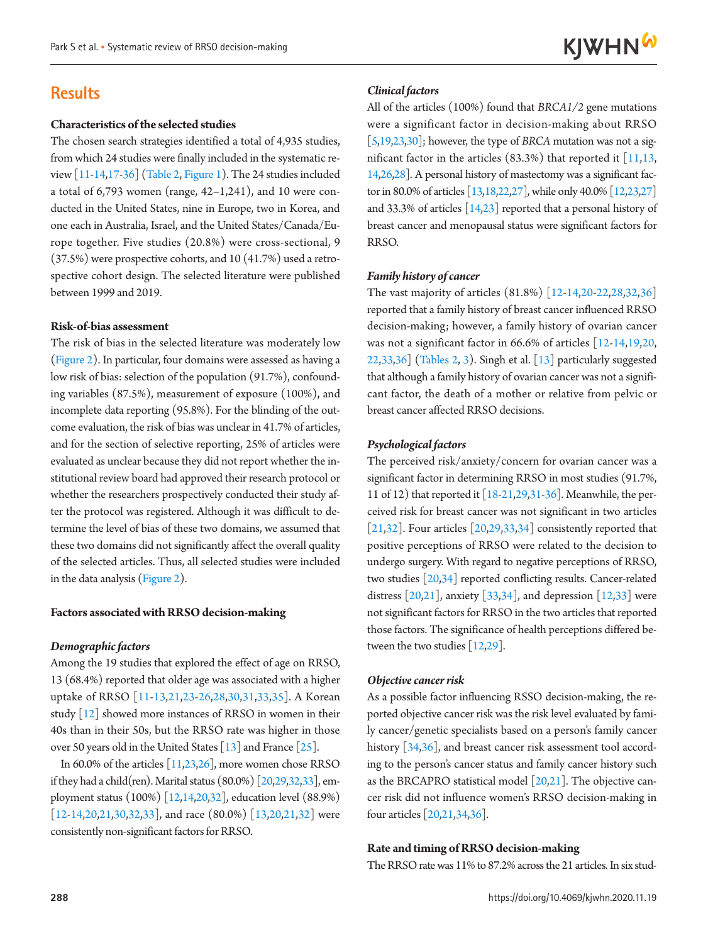## **Results**

#### **Characteristics of the selected studies**

The chosen search strategies identified a total of 4,935 studies, from which 24 studies were finally included in the systematic review [11-14[,17](#page-12-12)[-36](#page-13-0)] (Table 2, Figure 1). The 24 studies included a total of  $6,793$  women (range,  $42-1,241$ ), and 10 were conducted in the United States, nine in Europe, two in Korea, and one each in Australia, Israel, and the United States/Canada/Europe together. Five studies (20.8%) were cross-sectional, 9 (37.5%) were prospective cohorts, and 10 (41.7%) used a retrospective cohort design. The selected literature were published between 1999 and 2019.

#### **Risk-of-bias assessment**

The risk of bias in the selected literature was moderately low (Figure 2). In particular, four domains were assessed as having a low risk of bias: selection of the population (91.7%), confounding variables (87.5%), measurement of exposure (100%), and incomplete data reporting (95.8%). For the blinding of the outcome evaluation, the risk of bias was unclear in 41.7% of articles, and for the section of selective reporting, 25% of articles were evaluated as unclear because they did not report whether the institutional review board had approved their research protocol or whether the researchers prospectively conducted their study after the protocol was registered. Although it was difficult to determine the level of bias of these two domains, we assumed that these two domains did not significantly affect the overall quality of the selected articles. Thus, all selected studies were included in the data analysis (Figure 2).

#### **Factors associated with RRSO decision-making**

#### *Demographic factors*

Among the 19 studies that explored the effect of age on RRSO, 13 (68.4%) reported that older age was associated with a higher uptake of RRSO [11-1[3,21](#page-12-13)[,23](#page-13-1)[-26](#page-13-2),28[,30](#page-13-3)[,31](#page-13-4)[,33](#page-13-5)[,35\]](#page-13-6). A Korean study [\[12\]](#page-12-7) showed more instances of RRSO in women in their 40s than in their 50s, but the RRSO rate was higher in those over 50 years old in the United States [13] and France [\[25\]](#page-13-2).

In 60.0% of the articles [11,23,26], more women chose RRSO if they had a child(ren). Marital status (80.0%) [20,29,32,33], employment status (100%) [12,14,20,32], education level (88.9%) [12-14,20,21,30,32,33], and race (80.0%) [13,20,21,32] were consistently non-significant factors for RRSO.

#### *Clinical factors*

All of the articles (100%) found that *BRCA1/2* gene mutations were a significant factor in decision-making about RRSO [5[,19,](#page-12-10)23,30]; however, the type of *BRCA* mutation was not a significant factor in the articles  $(83.3%)$  that reported it  $[11,13,$ 14,26,28]. A personal history of mastectomy was a significant factor in 80.0% of articles [1[3,18](#page-12-14)[,22](#page-13-7),27], while only 40.0% [12,23,27] and 33.3% of articles  $[14,23]$  reported that a personal history of breast cancer and menopausal status were significant factors for RRSO.

#### *Family history of cancer*

The vast majority of articles (81.8%) [12-14[,20](#page-12-15)[-22](#page-13-7),2[8,32,](#page-13-8)36] reported that a family history of breast cancer influenced RRSO decision-making; however, a family history of ovarian cancer was not a significant factor in 66.6% of articles [12-1[4,19](#page-12-10)[,20](#page-12-15)[,](#page-13-7) [22,](#page-13-7)33,36] (Tables 2, 3). Singh et al. [13] particularly suggested that although a family history of ovarian cancer was not a significant factor, the death of a mother or relative from pelvic or breast cancer affected RRSO decisions.

#### *Psychological factors*

The perceived risk/anxiety/concern for ovarian cancer was a significant factor in determining RRSO in most studies (91.7%, 11 of 12) that reported it [\[18](#page-12-14)-2[1,29,](#page-13-9)31-36]. Meanwhile, the perceived risk for breast cancer was not significant in two articles [21[,32\]](#page-13-8). Four articles  $[20,29,33,34]$  $[20,29,33,34]$  $[20,29,33,34]$  $[20,29,33,34]$  $[20,29,33,34]$  consistently reported that positive perceptions of RRSO were related to the decision to undergo surgery. With regard to negative perceptions of RRSO, two studies [\[20](#page-12-15)[,34](#page-13-10)] reported conflicting results. Cancer-related distress  $[20,21]$  $[20,21]$ , anxiety  $[33,34]$  $[33,34]$ , and depression  $[12,33]$  were not significant factors for RRSO in the two articles that reported those factors. The significance of health perceptions differed between the two studies [1[2,29](#page-13-9)].

#### *Objective cancer risk*

As a possible factor influencing RSSO decision-making, the reported objective cancer risk was the risk level evaluated by family cancer/genetic specialists based on a person's family cancer history [\[34,](#page-13-10)36], and breast cancer risk assessment tool according to the person's cancer status and family cancer history such as the BRCAPRO statistical model [\[20](#page-12-15),21]. The objective cancer risk did not influence women's RRSO decision-making in four articles [\[20,](#page-12-15)21[,34](#page-13-10),36].

#### **Rate and timing of RRSO decision-making**

The RRSO rate was 11% to 87.2% across the 21 articles. In six stud-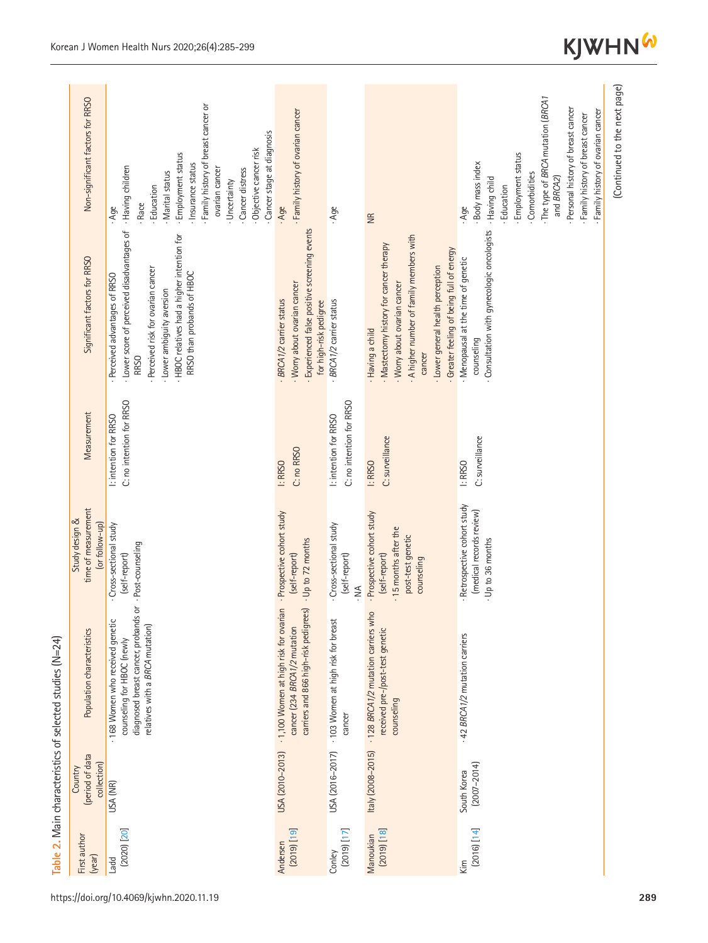| First author<br>(year)       | (period of data<br>collection)<br>Country | Population characteristics                                                                                                                  | time of measurement<br>Study design &<br>(or follow-up)                                                 | Measurement                                       | Significant factors for RRSO                                                                                                                                                                                                          | Non-significant factors for RRSO                                                                                                                                                                                                                                   |
|------------------------------|-------------------------------------------|---------------------------------------------------------------------------------------------------------------------------------------------|---------------------------------------------------------------------------------------------------------|---------------------------------------------------|---------------------------------------------------------------------------------------------------------------------------------------------------------------------------------------------------------------------------------------|--------------------------------------------------------------------------------------------------------------------------------------------------------------------------------------------------------------------------------------------------------------------|
| $[2020]$ $[20]$<br>Ladd      | USA (NR)                                  | ð<br>diagnosed breast cancer, probands<br>· 168 Women who received genetic<br>relatives with a BRCA mutation)<br>counseling for HBOC (newly | Cross-sectional study<br>- Post-counseling<br>(self-report)                                             | C: no intention for RRSO<br>I: intention for RRSO | - Lower score of perceived disadvantages of<br>- HBOC relatives had a higher intention for<br>Perceived risk for ovarian cancer<br>RRSO than probands of HBOC<br>- Perceived advantages of RRSO<br>- Lower ambiguity aversion<br>RRSO | Family history of breast cancer or<br>Cancer stage at diagnosis<br>Objective cancer risk<br>- Employment status<br>Insurance status<br>- Having children<br>ovarian cancer<br>Cancer distress<br>· Marital status<br>Uncertainty<br>- Education<br>- Race<br>. Age |
| $[01]$ $(0102)$<br>Andersen  | USA (2010-2013)                           | - 1,100 Women at high risk for ovarian<br>carriers and 866 high-risk pedigrees)<br>cancer (234 BRCA 1/2 mutation                            | - Prospective cohort study<br>- Up to 72 months<br>(self-report)                                        | C: no RRSO<br>I: RRSO                             | - Experienced false positive screening events<br>· Worry about ovarian cancer<br>- BRCA 1/2 carrier status<br>for high-risk pedigree                                                                                                  | Family history of ovarian cancer<br>- Age                                                                                                                                                                                                                          |
| $[17]$ (2019)<br>Conley      | USA (2016-2017)                           | · 103 Women at high risk for breast<br>cancer                                                                                               | Cross-sectional study<br>(self-report)<br>$\sum_{i=1}^{n}$                                              | C: no intention for RRSO<br>I: intention for RRSO | - BRCA 1/2 carrier status                                                                                                                                                                                                             | Age                                                                                                                                                                                                                                                                |
| $[81]$ $[0002]$<br>Manoukian | Italy (2008-2015)                         | - 128 BRCA1/2 mutation carriers who<br>received pre-/post-test genetic<br>counseling                                                        | - Prospective cohort study<br>- 15 months after the<br>post-test genetic<br>(self-report)<br>counseling | C: surveillance<br>I: RRSO                        | A higher number of family members with<br>· Mastectomy history for cancer therapy<br>Greater feeling of being full of energy<br>· Lower general health perception<br>· Worry about ovarian cancer<br>- Having a child<br>cancer       | $\widetilde{\Xi}$                                                                                                                                                                                                                                                  |
| [14]<br>Kim                  | $(2007 - 2014)$<br>South Korea            | - 42 BRCA1/2 mutation carriers                                                                                                              | Retrospective cohort study<br>(medical records review)<br>- Up to 36 months                             | C: surveillance<br>I: RRSO                        | Consultation with gynecologic oncologists<br>- Menopausal at the time of genetic<br>counseling                                                                                                                                        | · The type of BRCA mutation (BRCA1<br>Personal history of breast cancer<br>- Family history of ovarian cancer<br>Family history of breast cancer<br>- Employment status<br>- Body mass index<br>Comorbidities<br>and BRCA2)<br>Having child<br>Education<br>- Age  |
|                              |                                           |                                                                                                                                             |                                                                                                         |                                                   |                                                                                                                                                                                                                                       | (Continued to the next page)                                                                                                                                                                                                                                       |

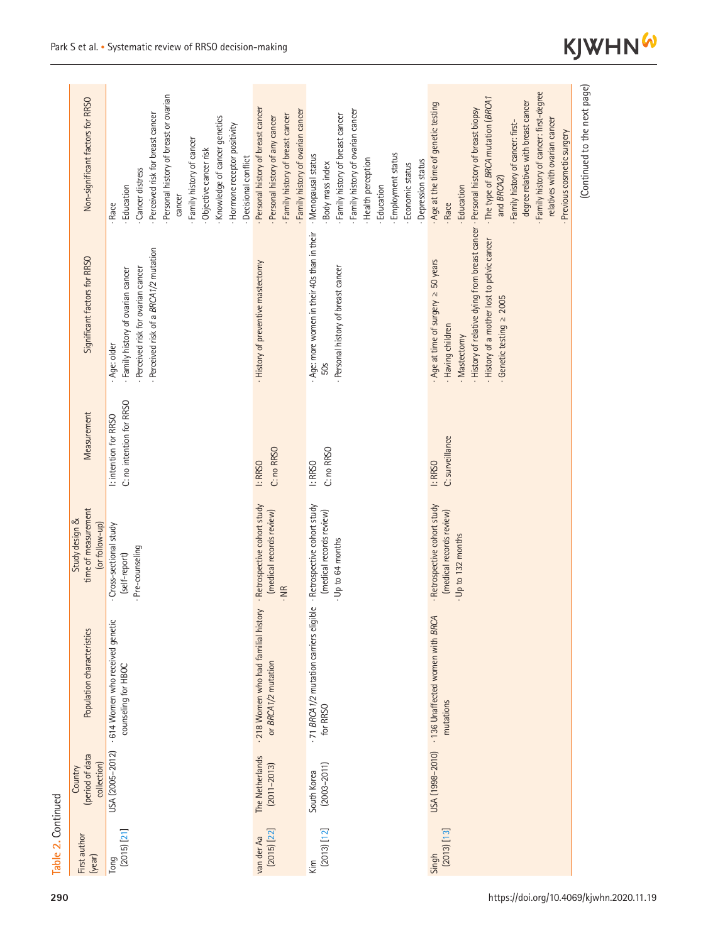| Non-significant factors for RRSO                        | Personal history of breast or ovarian<br>- Perceived risk for breast cancer<br>Knowledge of cancer genetics<br>- Hormone receptor positivity<br>Family history of cancer<br>Objective cancer risk<br>Decisional conflict<br>Cancer distress<br>- Education<br>cancer<br>- Race | Personal history of breast cancer<br>Family history of ovarian cancer<br>Family history of breast cancer<br>Personal history of any cancer | Family history of ovarian cancer<br>Family history of breast cancer<br>· Menopausal status<br>Employment status<br>Health perception<br>Depression status<br>Body mass index<br>Economic status<br>Education | Family history of cancer: first-degree<br>· The type of BRCA mutation (BRCA1<br>degree relatives with breast cancer<br>Age at the time of genetic testing<br>relatives with ovarian cancer<br>Family history of cancer: first-<br>Previous cosmetic surgery<br>and BRCA2)<br>- Education<br>- Race | (Continued to the next page) |
|---------------------------------------------------------|--------------------------------------------------------------------------------------------------------------------------------------------------------------------------------------------------------------------------------------------------------------------------------|--------------------------------------------------------------------------------------------------------------------------------------------|--------------------------------------------------------------------------------------------------------------------------------------------------------------------------------------------------------------|----------------------------------------------------------------------------------------------------------------------------------------------------------------------------------------------------------------------------------------------------------------------------------------------------|------------------------------|
| Significant factors for RRSO                            | - Perceived risk of a BRCA1/2 mutation<br>Perceived risk for ovarian cancer<br>- Family history of ovarian cancer<br>· Age: older                                                                                                                                              | · History of preventive mastectomy                                                                                                         | Age: more women in their 40s than in their<br>Personal history of breast cancer<br>50s                                                                                                                       | · History of relative dying from breast cancer · Personal history of breast biopsy<br>. History of a mother lost to pelvic cancer<br>Age at time of surgery $\geq$ 50 years<br>$-$ Genetic testing $\geq 2005$<br>. Having children<br>· Mastectomy                                                |                              |
| Measurement                                             | C: no intention for RRSO<br>l: intention for RRSO                                                                                                                                                                                                                              | C: no RRSO<br>I: RRSO                                                                                                                      | C: no RRSO<br>I: RRSO                                                                                                                                                                                        | C: surveillance<br>I: RRSO                                                                                                                                                                                                                                                                         |                              |
| time of measurement<br>Study design &<br>(or follow-up) | Cross-sectional study<br>Pre-counseling<br>(self-report)                                                                                                                                                                                                                       | - Retrospective cohort study<br>(medical records review)<br>. NR                                                                           | - Retrospective cohort study<br>(medical records review)<br>- Up to 64 months                                                                                                                                | Retrospective cohort study<br>(medical records review)<br>- Up to 132 months                                                                                                                                                                                                                       |                              |
| Population characteristics                              | - 614 Women who received genetic<br>counseling for HBOC                                                                                                                                                                                                                        | - 218 Women who had familial history<br>or BRCA1/2 mutation                                                                                | - 71 BRCA1/2 mutation carriers eligible<br>for RRSO                                                                                                                                                          | USA (1998-2010) · 136 Unaffected women with BRCA<br>mutations                                                                                                                                                                                                                                      |                              |
| (period of data<br>collection)<br>Country               | USA (2005-2012)                                                                                                                                                                                                                                                                | The Netherlands<br>$(2011 - 2013)$                                                                                                         | $(2003 - 2011)$<br>South Korea                                                                                                                                                                               |                                                                                                                                                                                                                                                                                                    |                              |
| First author<br>(year)                                  | $(2015)$ $[21]$<br>Tong                                                                                                                                                                                                                                                        | $(2015)$ $[22]$<br>van der Aa                                                                                                              | $[2013]$ $[12]$<br>Kim                                                                                                                                                                                       | $[2013]$ $[13]$<br>Singh                                                                                                                                                                                                                                                                           |                              |

**KJWHN<sup>W</sup>** 

**Table 2.** Continued

Table 2. Continued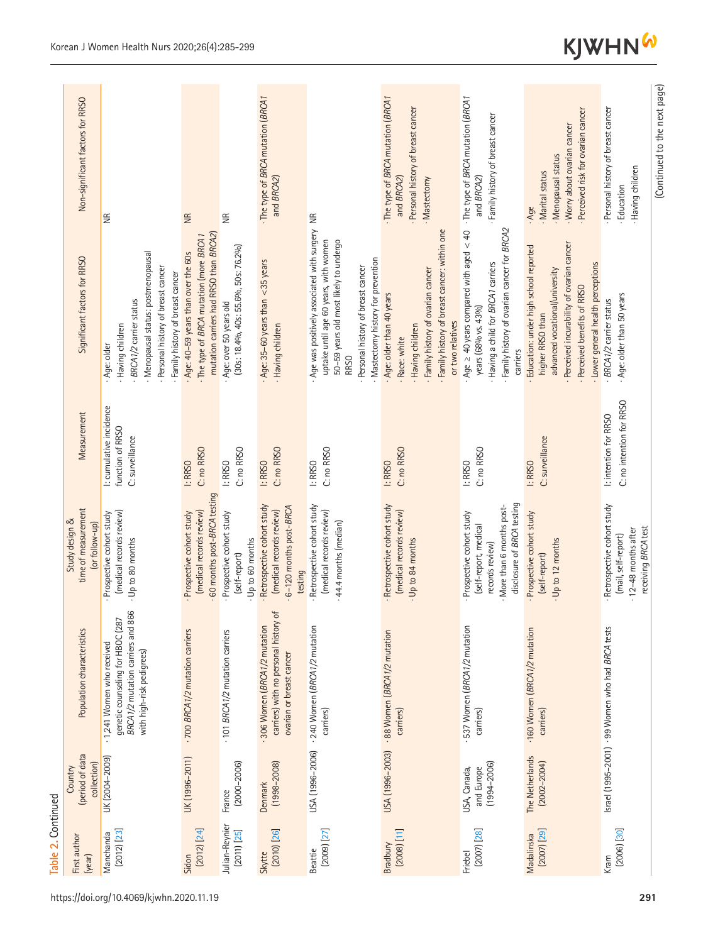|                    | Non-significant factors for RRSO                        | $\widetilde{\Xi}$                                                                                                                                                             | $\frac{R}{R}$                                                                                                             | $\widetilde{\Xi}$                                                                                | The type of BRCA mutation (BRCA1<br>and BRCA2)                                                   |                                                                                                                                                                                                                      | The type of BRCA mutation (BRCA1<br>Personal history of breast cancer<br>and BRCA2)<br>· Mastectomy                                                                         | · The type of BRCA mutation (BRCA1<br>Family history of breast cancer<br>and BRCA2)                                                                                  | Perceived risk for ovarian cancer<br>· Worry about ovarian cancer<br>· Menopausal status<br>· Marital status<br>- Age                                                                                         | (Continued to the next page)<br>Personal history of breast cancer<br>Having children<br>- Education |
|--------------------|---------------------------------------------------------|-------------------------------------------------------------------------------------------------------------------------------------------------------------------------------|---------------------------------------------------------------------------------------------------------------------------|--------------------------------------------------------------------------------------------------|--------------------------------------------------------------------------------------------------|----------------------------------------------------------------------------------------------------------------------------------------------------------------------------------------------------------------------|-----------------------------------------------------------------------------------------------------------------------------------------------------------------------------|----------------------------------------------------------------------------------------------------------------------------------------------------------------------|---------------------------------------------------------------------------------------------------------------------------------------------------------------------------------------------------------------|-----------------------------------------------------------------------------------------------------|
|                    | Significant factors for RRSO                            | Menopausal status: postmenopausal<br>Personal history of breast cancer<br>- Family history of breast cancer<br>- BRCA 1/2 carrier status<br>· Having children<br>- Age: older | mutation carriers had RRSO than BRCA2)<br>· The type of BRCA mutation (more BRCA1<br>. Age: 40-59 years than over the 60s | $(30s: 18.4\%$ <sub>0</sub> , $40s: 55.6\%$ <sub>0</sub> , 50s: 76.2%)<br>Age: over 50 years old | $-Age: 35-60$ years than < 35 years<br>· Having children                                         | Age was positively associated with surgery NR<br>uptake until age 60 years, with women<br>50-59 years old most likely to undergo<br>· Mastectomy history for prevention<br>Personal history of breast cancer<br>RRSO | · Family history of breast cancer: within one<br>· Family history of ovarian cancer<br>- Age: older than 40 years<br>or two relatives<br>- Having children<br>- Race: white | Age $\ge$ 40 years compared with aged $\lt$ 40<br>Family history of ovarian cancer for BRCA2<br>Having a child for BRCA1 carriers<br>years (68% vs. 43%)<br>carriers | Perceived incurability of ovarian cancer<br>Education: under high school reported<br>- Lower general health perceptions<br>advanced vocational/university<br>· Perceived benefits of RRSO<br>higher RRSO than | - Age: older than 50 years<br>BRCA 1/2 carrier status                                               |
|                    | Measurement                                             | I: cumulative incidence<br>function of RRSO<br>C: surveillance                                                                                                                | C: no RRSO<br>I: RRSO                                                                                                     | C: no RRSO<br>I: RRSO                                                                            | C: no RRSO<br>I: RRSO                                                                            | C: no RRSO<br>I: RRSO                                                                                                                                                                                                | C: no RRSO<br>I: RRSO                                                                                                                                                       | C: no RRSO<br>I: RRSO                                                                                                                                                | C: surveillance<br>I: RRSO                                                                                                                                                                                    | C: no intention for RRSO<br>I: intention for RRSO                                                   |
|                    | time of measurement<br>Study design &<br>(or follow-up) | (medical records review)<br>Prospective cohort study<br>· Up to 80 months                                                                                                     | - 60 months post-BRCA testing<br>(medical records review)<br>Prospective cohort study                                     | Prospective cohort study<br>Up to 60 months<br>(self-report)                                     | - Retrospective cohort study<br>6-120 months post-BRCA<br>(medical records review)<br>testing    | Retrospective cohort study<br>(medical records review)<br>44.4 months (median)                                                                                                                                       | Retrospective cohort study<br>(medical records review)<br>Up to 84 months                                                                                                   | disclosure of BRCA testing<br>More than 6 months post-<br>Prospective cohort study<br>(self-report, medical<br>records review)                                       | Prospective cohort study<br>Up to 12 months<br>(self-report)                                                                                                                                                  | Retrospective cohort study<br>receiving BRCA test<br>. 12-48 months after<br>(mail, self-report)    |
|                    | Population characteristics                              | BRCA1/2 mutation carriers and 866<br>genetic counseling for HBOC (287<br>- 1,241 Women who received<br>with high-risk pedigrees)                                              | · 700 BRCA1/2 mutation carriers                                                                                           | 101 BRCA1/2 mutation carriers                                                                    | carriers) with no personal history of<br>306 Women (BRCA1/2 mutation<br>ovarian or breast cancer | · 240 Women (BRCA1/2 mutation<br>carriers)                                                                                                                                                                           | - 88 Women (BRCA1/2 mutation<br>carriers)                                                                                                                                   | 537 Women (BRCA1/2 mutation<br>carriers)                                                                                                                             | ·160 Women (BRCA1/2 mutation<br>carriers)                                                                                                                                                                     | Israel (1995-2001) · 99 Women who had BRCA tests                                                    |
|                    | (period of data<br>collection)<br>Country               | UK (2004-2009)                                                                                                                                                                | UK (1996-2011)                                                                                                            | $(2000 - 2006)$<br>France                                                                        | $(1998 - 2008)$<br>Denmark                                                                       | USA (1996-2006)                                                                                                                                                                                                      | USA (1996-2003)                                                                                                                                                             | $(1994 - 2006)$<br>and Europe<br>USA, Canada,                                                                                                                        | The Netherlands<br>$(2002 - 2004)$                                                                                                                                                                            |                                                                                                     |
| Table 2. Continued | First author<br>(year)                                  | $(2012)$ $[23]$<br>Manchanda                                                                                                                                                  | $(2012)$ $[24]$<br>Sidon                                                                                                  | Julian-Reynier<br>$(2011)$ $[25]$                                                                | $(2010)$ $[26]$<br>Skytte                                                                        | $[2009]$ $[27]$<br>Beattie                                                                                                                                                                                           | $[11]$ $[2008]$<br>Bradbury                                                                                                                                                 | $(2007)$ $[28]$<br>Friebel                                                                                                                                           | $[2007]$ $[29]$<br>Madalinska                                                                                                                                                                                 | $[2006]$ $[30]$<br>Kram                                                                             |
|                    | https://doi.org/10.4069/kjwhn.2020.11.19<br>291         |                                                                                                                                                                               |                                                                                                                           |                                                                                                  |                                                                                                  |                                                                                                                                                                                                                      |                                                                                                                                                                             |                                                                                                                                                                      |                                                                                                                                                                                                               |                                                                                                     |

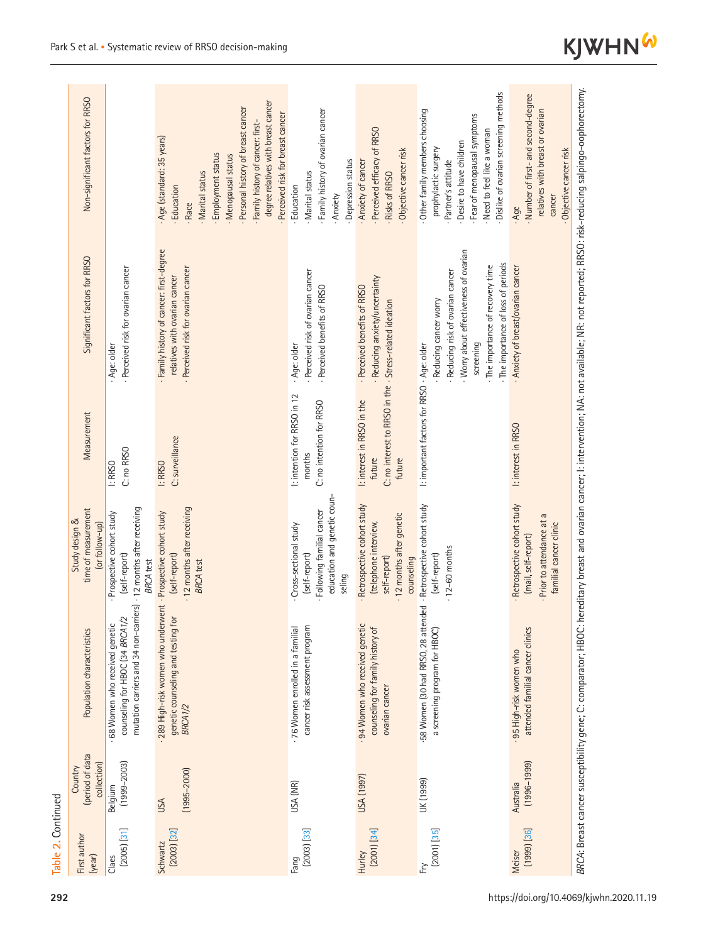| Non-significant factors for RRSO                        |                                                                                                                                        | degree relatives with breast cancer<br>Personal history of breast cancer<br>Perceived risk for breast cancer<br>Family history of cancer: first-<br>Age (standard: 35 years)<br>Employment status<br>Menopausal status<br>Marital status<br>Education<br>Race | - Family history of ovarian cancer<br>Depression status<br>· Marital status<br>Education<br>Anxiety            | Perceived efficacy of RRSO<br>Objective cancer risk<br>Anxiety of cancer<br>Risks of RRSO                    | Dislike of ovarian screening methods<br>Other family members choosing<br>Fear of menopausal symptoms<br>Need to feel like a woman<br>Desire to have children<br>prophylactic surgery<br>- Partner's attitude | Number of first- and second-degree<br>relatives with breast or ovarian<br>Objective cancer risk<br>cancer<br>- Age |
|---------------------------------------------------------|----------------------------------------------------------------------------------------------------------------------------------------|---------------------------------------------------------------------------------------------------------------------------------------------------------------------------------------------------------------------------------------------------------------|----------------------------------------------------------------------------------------------------------------|--------------------------------------------------------------------------------------------------------------|--------------------------------------------------------------------------------------------------------------------------------------------------------------------------------------------------------------|--------------------------------------------------------------------------------------------------------------------|
| Significant factors for RRSO                            | - Perceived risk for ovarian cancer<br>Age: older                                                                                      | Family history of cancer: first-degree<br>Perceived risk for ovarian cancer<br>relatives with ovarian cancer                                                                                                                                                  | Perceived risk of ovarian cancer<br>- Perceived benefits of RRSO<br>- Age: older                               | Reducing anxiety/uncertainty<br>- Perceived benefits of RRSO                                                 | Worry about effectiveness of ovarian<br>- The importance of loss of periods<br>- The importance of recovery time<br>Reducing risk of ovarian cancer<br>Reducing cancer worry<br>screening                    | Anxiety of breast/ovarian cancer                                                                                   |
| Measurement                                             | C: no RRSO<br>I: RRSO                                                                                                                  | C: surveillance<br>I: RRSO                                                                                                                                                                                                                                    | I: intention for RRSO in 12<br>C: no intention for RRSO<br>months                                              | C: no interest to RRSO in the · Stress-related ideation<br>I: interest in RRSO in the<br>future<br>future    | I: important factors for RRSO . Age: older                                                                                                                                                                   | I: interest in RRSO                                                                                                |
| time of measurement<br>Study design &<br>(or follow-up) | Prospective cohort study<br>(self-report)<br><b>BRCA</b> test                                                                          | 12 months after receiving<br>(self-report)<br><b>BRCA</b> test                                                                                                                                                                                                | education and genetic coun-<br>- Following familial cancer<br>Cross-sectional study<br>(self-report)<br>seling | Retrospective cohort study<br>12 months after genetic<br>(telephone interview,<br>self-report)<br>counseling | - Retrospective cohort study<br>$-12-60$ months<br>(self-report)                                                                                                                                             | Retrospective cohort study<br>Prior to attendance at a<br>familial cancer clinic<br>(mail, self-report)            |
| Population characteristics                              | mutation carriers and 34 non-carriers) - 12 months after receiving<br>counseling for HBOC (34 BRCA1/2<br>68 Women who received genetic | 289 High-risk women who underwent · Prospective cohort study<br>genetic counseling and testing for<br>BRCA <sub>1/2</sub>                                                                                                                                     | cancer risk assessment program<br>- 76 Women enrolled in a familial                                            | 94 Women who received genetic<br>counseling for family history of<br>ovarian cancer                          | 58 Women (30 had RRSO, 28 attended<br>a screening program for HBOC)                                                                                                                                          | attended familial cancer clinics<br>· 95 High-risk women who                                                       |
| (period of data<br>collection)<br>Country               | $(1999 - 2003)$<br>Belgium                                                                                                             | $(1995 - 2000)$<br>USA                                                                                                                                                                                                                                        | USA (NR)                                                                                                       | USA (1997)                                                                                                   | UK (1999)                                                                                                                                                                                                    | $(1996 - 1999)$<br>Australia                                                                                       |
| First author<br>(year)                                  | $(2005)$ $[31]$<br>Claes                                                                                                               | $(2003)$ $[32]$<br>Schwartz                                                                                                                                                                                                                                   | $[2003]$ $[33]$<br>Fang                                                                                        | $(2001)$ $[34]$<br>Hurley                                                                                    | $[2001]$ $[35]$<br>ΨŢ                                                                                                                                                                                        | $[199]$ $[36]$<br><b>Meiser</b>                                                                                    |

Table 2. Continued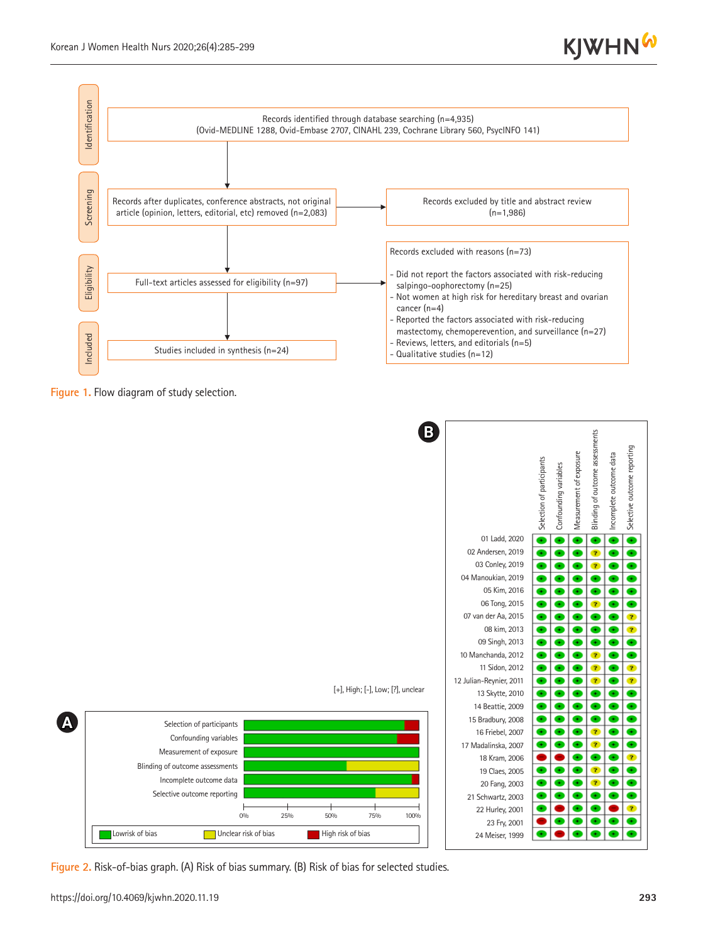



**Figure 1.** Flow diagram of study selection.



**Figure 2.** Risk-of-bias graph. (A) Risk of bias summary. (B) Risk of bias for selected studies.

**A**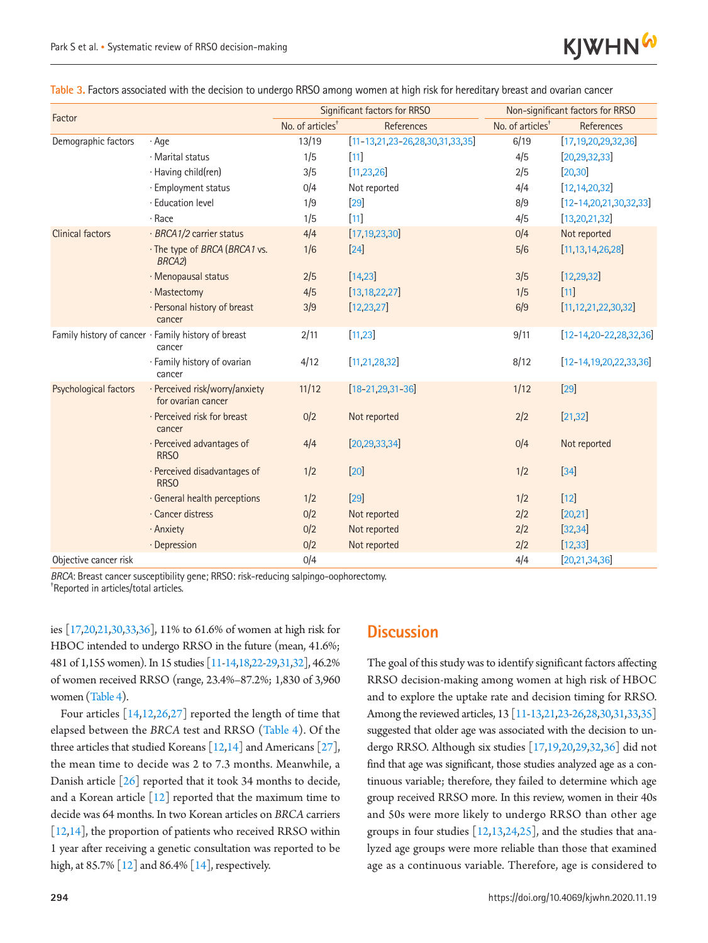

| <mark>Table 3.</mark> Factors associated with the decision to undergo RRSO among women at high risk for hereditary breast and ovarian cancer |  |  |
|----------------------------------------------------------------------------------------------------------------------------------------------|--|--|
|                                                                                                                                              |  |  |

| Factor                |                                                               |                              | Significant factors for RRSO                 | Non-significant factors for RRSO |                                 |  |
|-----------------------|---------------------------------------------------------------|------------------------------|----------------------------------------------|----------------------------------|---------------------------------|--|
|                       |                                                               | No. of articles <sup>+</sup> | References                                   | No. of articles <sup>+</sup>     | References                      |  |
| Demographic factors   | $·$ Age                                                       | 13/19                        | $[11 - 13, 21, 23 - 26, 28, 30, 31, 33, 35]$ | 6/19                             | [17, 19, 20, 29, 32, 36]        |  |
|                       | · Marital status                                              | 1/5                          | $[11]$                                       | 4/5                              | [20, 29, 32, 33]                |  |
|                       | · Having child(ren)                                           | 3/5                          | [11, 23, 26]                                 | 2/5                              | [20, 30]                        |  |
|                       | · Employment status                                           | 0/4                          | Not reported                                 | 4/4                              | [12, 14, 20, 32]                |  |
|                       | · Education level                                             | 1/9                          | $[29]$                                       | 8/9                              | $[12 - 14, 20, 21, 30, 32, 33]$ |  |
|                       | · Race                                                        | 1/5                          | $[11]$                                       | 4/5                              | [13, 20, 21, 32]                |  |
| Clinical factors      | · BRCA1/2 carrier status                                      | 4/4                          | [17, 19, 23, 30]                             | 0/4                              | Not reported                    |  |
|                       | · The type of BRCA (BRCA1 vs.<br>BRCA <sub>2</sub> )          | 1/6                          | $[24]$                                       | 5/6                              | [11, 13, 14, 26, 28]            |  |
|                       | · Menopausal status                                           | 2/5                          | [14, 23]                                     | 3/5                              | [12, 29, 32]                    |  |
|                       | · Mastectomy                                                  | 4/5                          | [13, 18, 22, 27]                             | 1/5                              | $[11]$                          |  |
|                       | · Personal history of breast<br>cancer                        | 3/9                          | [12, 23, 27]                                 | 6/9                              | [11, 12, 21, 22, 30, 32]        |  |
|                       | Family history of cancer · Family history of breast<br>cancer | 2/11                         | [11, 23]                                     | 9/11                             | $[12 - 1420 - 222283236]$       |  |
|                       | · Family history of ovarian<br>cancer                         | 4/12                         | [11, 21, 28, 32]                             | 8/12                             | $[12 - 14, 19, 20, 22, 33, 36]$ |  |
| Psychological factors | · Perceived risk/worry/anxiety<br>for ovarian cancer          | 11/12                        | $[18 - 21, 29, 31 - 36]$                     | 1/12                             | $[29]$                          |  |
|                       | · Perceived risk for breast<br>cancer                         | 0/2                          | Not reported                                 | 2/2                              | [21, 32]                        |  |
|                       | · Perceived advantages of<br><b>RRSO</b>                      | 4/4                          | [20, 29, 33, 34]                             | 0/4                              | Not reported                    |  |
|                       | · Perceived disadvantages of<br><b>RRSO</b>                   | 1/2                          | $[20]$                                       | 1/2                              | $[34]$                          |  |
|                       | · General health perceptions                                  | 1/2                          | $[29]$                                       | 1/2                              | $[12]$                          |  |
|                       | · Cancer distress                                             | 0/2                          | Not reported                                 | 2/2                              | [20, 21]                        |  |
|                       | · Anxiety                                                     | 0/2                          | Not reported                                 | 2/2                              | [32, 34]                        |  |
|                       | · Depression                                                  | 0/2                          | Not reported                                 | 2/2                              | [12, 33]                        |  |
| Objective cancer risk |                                                               | 0/4                          |                                              | 4/4                              | [20, 21, 34, 36]                |  |

*BRCA*: Breast cancer susceptibility gene; RRSO: risk-reducing salpingo-oophorectomy. Reported in articles/total articles.

ies [1[7,20,](#page-12-15)21,30,33,36], 11% to 61.6% of women at high risk for HBOC intended to undergo RRSO in the future (mean, 41.6%; 481 of 1,155 women). In 15 studies [11-14,18,22-29,31,32], 46.2% of women received RRSO (range, 23.4%–87.2%; 1,830 of 3,960 women (Table 4).

Four articles [14,12,26,27] reported the length of time that elapsed between the *BRCA* test and RRSO (Table 4). Of the three articles that studied Koreans  $\lceil 12,14 \rceil$  and Americans  $\lceil 27 \rceil$ , the mean time to decide was 2 to 7.3 months. Meanwhile, a Danish article [26] reported that it took 34 months to decide, and a Korean article  $\lceil 12 \rceil$  reported that the maximum time to decide was 64 months. In two Korean articles on *BRCA* carriers [12,14], the proportion of patients who received RRSO within 1 year after receiving a genetic consultation was reported to be high, at 85.7% [12] and 86.4% [14], respectively.

### **Discussion**

The goal of this study was to identify significant factors affecting RRSO decision-making among women at high risk of HBOC and to explore the uptake rate and decision timing for RRSO. Among the reviewed articles, 13 [11-13,21,23-26,28,30,31,33,35] suggested that older age was associated with the decision to undergo RRSO. Although six studies [17,19,20,29,32,36] did not find that age was significant, those studies analyzed age as a continuous variable; therefore, they failed to determine which age group received RRSO more. In this review, women in their 40s and 50s were more likely to undergo RRSO than other age groups in four studies  $[12,13,24,25]$  $[12,13,24,25]$  $[12,13,24,25]$ , and the studies that analyzed age groups were more reliable than those that examined age as a continuous variable. Therefore, age is considered to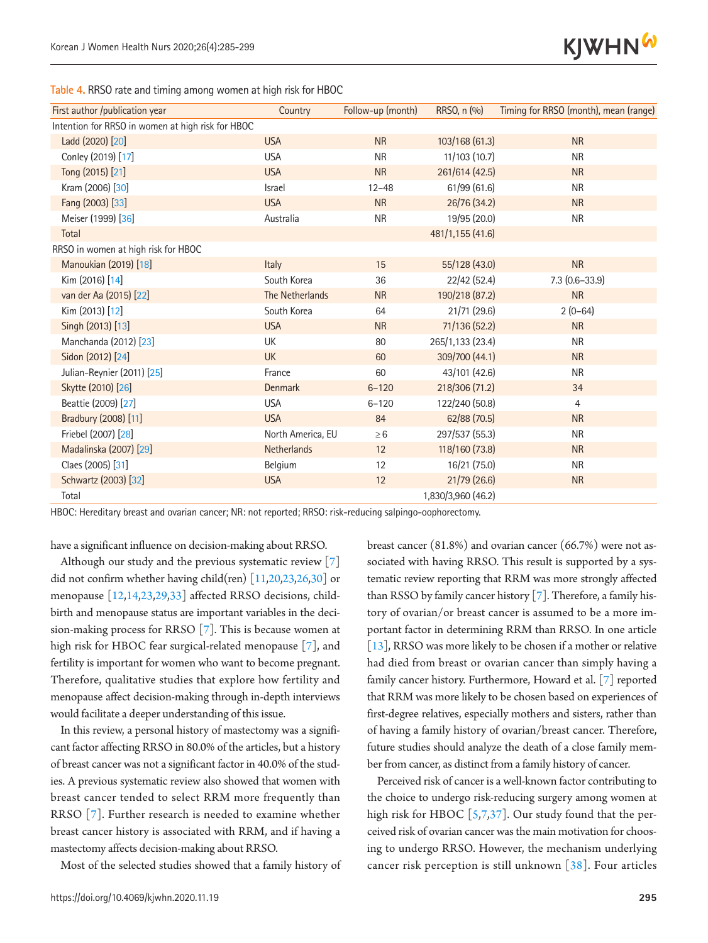

**Table 4.** RRSO rate and timing among women at high risk for HBOC

| First author /publication year                    | Country           | Follow-up (month) | RRSO, n (%)        | Timing for RRSO (month), mean (range) |
|---------------------------------------------------|-------------------|-------------------|--------------------|---------------------------------------|
| Intention for RRSO in women at high risk for HBOC |                   |                   |                    |                                       |
| Ladd (2020) [20]                                  | <b>USA</b>        | <b>NR</b>         | 103/168 (61.3)     | <b>NR</b>                             |
| Conley (2019) [17]                                | <b>USA</b>        | <b>NR</b>         | 11/103(10.7)       | <b>NR</b>                             |
| Tong (2015) [21]                                  | <b>USA</b>        | <b>NR</b>         | 261/614 (42.5)     | <b>NR</b>                             |
| Kram (2006) [30]                                  | Israel            | $12 - 48$         | 61/99 (61.6)       | <b>NR</b>                             |
| Fang (2003) [33]                                  | <b>USA</b>        | <b>NR</b>         | 26/76 (34.2)       | <b>NR</b>                             |
| Meiser (1999) [36]                                | Australia         | <b>NR</b>         | 19/95 (20.0)       | <b>NR</b>                             |
| Total                                             |                   |                   | 481/1,155 (41.6)   |                                       |
| RRSO in women at high risk for HBOC               |                   |                   |                    |                                       |
| Manoukian (2019) [18]                             | Italy             | 15                | 55/128 (43.0)      | <b>NR</b>                             |
| Kim (2016) [14]                                   | South Korea       | 36                | 22/42 (52.4)       | $7.3(0.6 - 33.9)$                     |
| van der Aa (2015) [22]                            | The Netherlands   | <b>NR</b>         | 190/218 (87.2)     | <b>NR</b>                             |
| Kim (2013) [12]                                   | South Korea       | 64                | 21/71 (29.6)       | $2(0-64)$                             |
| Singh (2013) [13]                                 | <b>USA</b>        | <b>NR</b>         | 71/136 (52.2)      | <b>NR</b>                             |
| Manchanda (2012) [23]                             | <b>UK</b>         | 80                | 265/1,133 (23.4)   | <b>NR</b>                             |
| Sidon (2012) [24]                                 | <b>UK</b>         | 60                | 309/700 (44.1)     | <b>NR</b>                             |
| Julian-Reynier (2011) [25]                        | France            | 60                | 43/101 (42.6)      | <b>NR</b>                             |
| Skytte (2010) [26]                                | Denmark           | $6 - 120$         | 218/306 (71.2)     | 34                                    |
| Beattie (2009) [27]                               | <b>USA</b>        | $6 - 120$         | 122/240 (50.8)     | $\overline{4}$                        |
| Bradbury (2008) [11]                              | <b>USA</b>        | 84                | 62/88 (70.5)       | <b>NR</b>                             |
| Friebel (2007) [28]                               | North America, EU | $\geq 6$          | 297/537 (55.3)     | <b>NR</b>                             |
| Madalinska (2007) [29]                            | Netherlands       | 12                | 118/160 (73.8)     | <b>NR</b>                             |
| Claes (2005) [31]                                 | Belgium           | 12                | 16/21 (75.0)       | <b>NR</b>                             |
| Schwartz (2003) [32]                              | <b>USA</b>        | 12                | 21/79 (26.6)       | <b>NR</b>                             |
| Total                                             |                   |                   | 1,830/3,960 (46.2) |                                       |

HBOC: Hereditary breast and ovarian cancer; NR: not reported; RRSO: risk-reducing salpingo-oophorectomy.

have a significant influence on decision-making about RRSO.

Although our study and the previous systematic review [7] did not confirm whether having child(ren)  $[11,20,23,26,30]$  or menopause [12,14,23,29,33] affected RRSO decisions, childbirth and menopause status are important variables in the decision-making process for RRSO [7]. This is because women at high risk for HBOC fear surgical-related menopause [7], and fertility is important for women who want to become pregnant. Therefore, qualitative studies that explore how fertility and menopause affect decision-making through in-depth interviews would facilitate a deeper understanding of this issue.

In this review, a personal history of mastectomy was a significant factor affecting RRSO in 80.0% of the articles, but a history of breast cancer was not a significant factor in 40.0% of the studies. A previous systematic review also showed that women with breast cancer tended to select RRM more frequently than RRSO [7]. Further research is needed to examine whether breast cancer history is associated with RRM, and if having a mastectomy affects decision-making about RRSO.

Most of the selected studies showed that a family history of

https://doi.org/10.4069/kjwhn.2020.11.19 **295**

breast cancer (81.8%) and ovarian cancer (66.7%) were not associated with having RRSO. This result is supported by a systematic review reporting that RRM was more strongly affected than RSSO by family cancer history [7]. Therefore, a family history of ovarian/or breast cancer is assumed to be a more important factor in determining RRM than RRSO. In one article [13], RRSO was more likely to be chosen if a mother or relative had died from breast or ovarian cancer than simply having a family cancer history. Furthermore, Howard et al. [7] reported that RRM was more likely to be chosen based on experiences of first-degree relatives, especially mothers and sisters, rather than of having a family history of ovarian/breast cancer. Therefore, future studies should analyze the death of a close family member from cancer, as distinct from a family history of cancer.

Perceived risk of cancer is a well-known factor contributing to the choice to undergo risk-reducing surgery among women at high risk for HBOC  $[5,7,37]$  $[5,7,37]$  $[5,7,37]$ . Our study found that the perceived risk of ovarian cancer was the main motivation for choosing to undergo RRSO. However, the mechanism underlying cancer risk perception is still unknown  $\left[38\right]$  $\left[38\right]$  $\left[38\right]$ . Four articles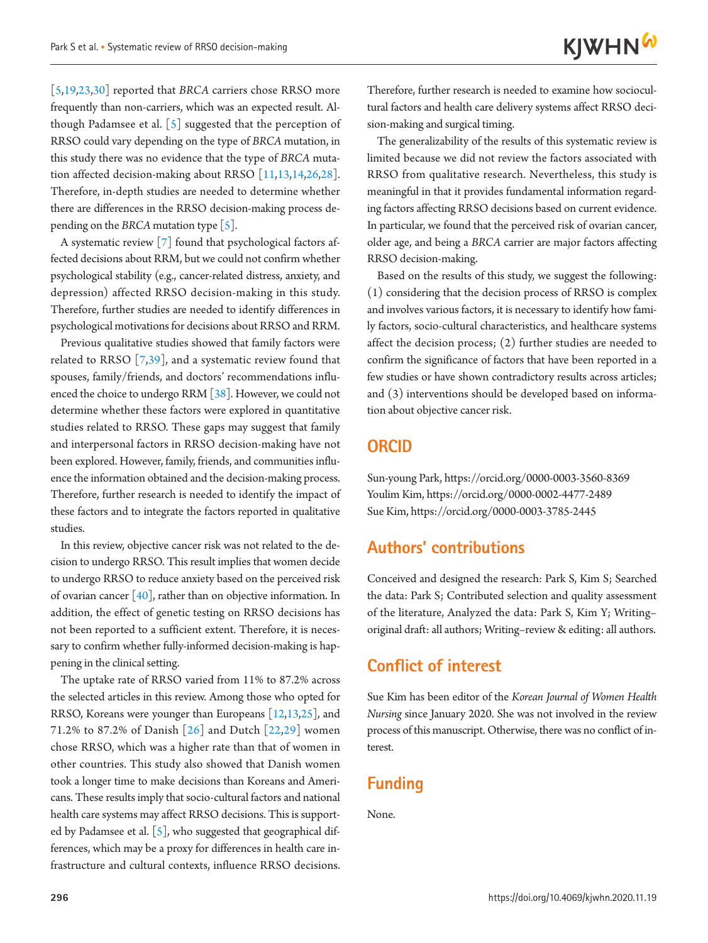[5,19,23,30] reported that *BRCA* carriers chose RRSO more frequently than non-carriers, which was an expected result. Although Padamsee et al.  $\lceil 5 \rceil$  suggested that the perception of RRSO could vary depending on the type of *BRCA* mutation, in this study there was no evidence that the type of *BRCA* mutation affected decision-making about RRSO [11,13,14,26,28]. Therefore, in-depth studies are needed to determine whether there are differences in the RRSO decision-making process depending on the *BRCA* mutation type  $\lceil 5 \rceil$ .

A systematic review [7] found that psychological factors affected decisions about RRM, but we could not confirm whether psychological stability (e.g., cancer-related distress, anxiety, and depression) affected RRSO decision-making in this study. Therefore, further studies are needed to identify differences in psychological motivations for decisions about RRSO and RRM.

Previous qualitative studies showed that family factors were related to RRSO [7,[39](#page-14-2)], and a systematic review found that spouses, family/friends, and doctors' recommendations influenced the choice to undergo RRM [\[38](#page-14-1)]. However, we could not determine whether these factors were explored in quantitative studies related to RRSO. These gaps may suggest that family and interpersonal factors in RRSO decision-making have not been explored. However, family, friends, and communities influence the information obtained and the decision-making process. Therefore, further research is needed to identify the impact of these factors and to integrate the factors reported in qualitative studies.

In this review, objective cancer risk was not related to the decision to undergo RRSO. This result implies that women decide to undergo RRSO to reduce anxiety based on the perceived risk of ovarian cancer  $[40]$ , rather than on objective information. In addition, the effect of genetic testing on RRSO decisions has not been reported to a sufficient extent. Therefore, it is necessary to confirm whether fully-informed decision-making is happening in the clinical setting.

The uptake rate of RRSO varied from 11% to 87.2% across the selected articles in this review. Among those who opted for RRSO, Koreans were younger than Europeans [12,13,25], and 71.2% to 87.2% of Danish [26] and Dutch [22,29] women chose RRSO, which was a higher rate than that of women in other countries. This study also showed that Danish women took a longer time to make decisions than Koreans and Americans. These results imply that socio-cultural factors and national health care systems may affect RRSO decisions. This is supported by Padamsee et al. [5], who suggested that geographical differences, which may be a proxy for differences in health care infrastructure and cultural contexts, influence RRSO decisions.

Therefore, further research is needed to examine how sociocultural factors and health care delivery systems affect RRSO decision-making and surgical timing.

The generalizability of the results of this systematic review is limited because we did not review the factors associated with RRSO from qualitative research. Nevertheless, this study is meaningful in that it provides fundamental information regarding factors affecting RRSO decisions based on current evidence. In particular, we found that the perceived risk of ovarian cancer, older age, and being a *BRCA* carrier are major factors affecting RRSO decision-making.

Based on the results of this study, we suggest the following: (1) considering that the decision process of RRSO is complex and involves various factors, it is necessary to identify how family factors, socio-cultural characteristics, and healthcare systems affect the decision process; (2) further studies are needed to confirm the significance of factors that have been reported in a few studies or have shown contradictory results across articles; and (3) interventions should be developed based on information about objective cancer risk.

### **ORCID**

Sun-young Park, [https://orcid.org/0000-0003-3560-83](http://orcid.org/0000-0003-3560-8369)69 Youlim Kim, [https://orcid.org/0000-0002-4477-24](http://orcid.org/0000-0002-4477-2489)89 Sue Kim, [https://orcid.org/0000-0003-3785-2445](http://orcid.org/0000-0003-3785-2445)

### **Authors' contributions**

Conceived and designed the research: Park S, Kim S; Searched the data: Park S; Contributed selection and quality assessment of the literature, Analyzed the data: Park S, Kim Y; Writing– original draft: all authors; Writing–review & editing: all authors.

### **Conflict of interest**

Sue Kim has been editor of the *Korean Journal of Women Health Nursing* since January 2020. She was not involved in the review process of this manuscript. Otherwise, there was no conflict of interest.

### **Funding**

None.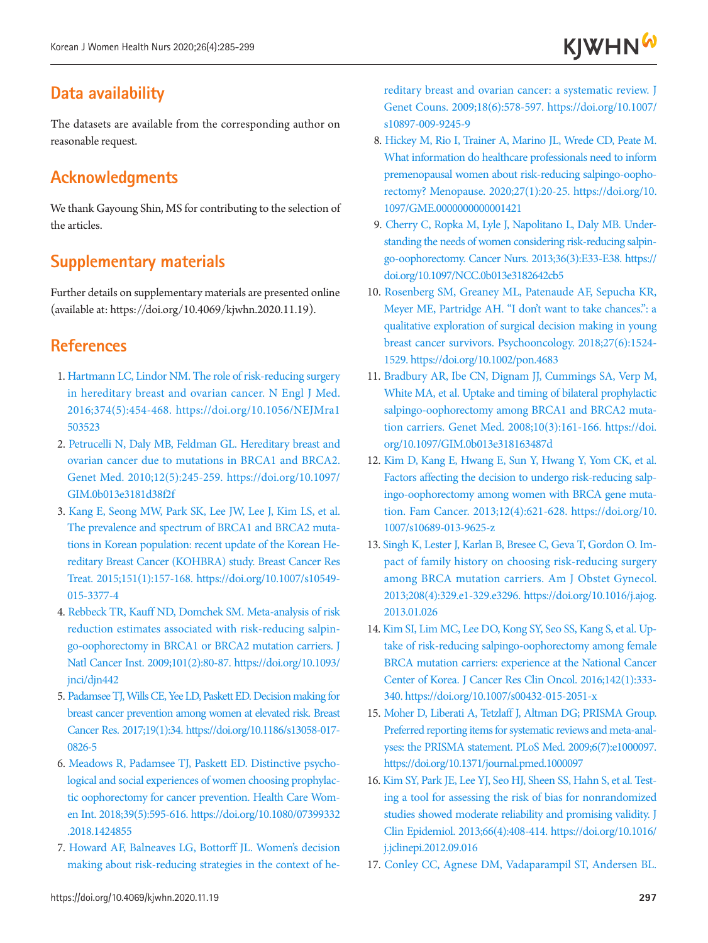## **Data availability**

The datasets are available from the corresponding author on reasonable request.

## <span id="page-12-0"></span>**Acknowledgments**

We thank Gayoung Shin, MS for contributing to the selection of the articles.

## **Supplementary materials**

Further details on supplementary materials are presented online (available at: https://doi.org/10.4069/kjwhn.2020.11.19).

## **References**

- 1. [Hartmann LC, Lindor NM. The role of risk-reducing surgery](https://doi.org/10.1056/NEJMra1503523) [in hereditary breast and ovarian cancer. N Engl J Med.](https://doi.org/10.1056/NEJMra1503523) [2016;374\(5\):454-468. https://doi.org/10.1056/NEJMra1](https://doi.org/10.1056/NEJMra1503523) [503523](https://doi.org/10.1056/NEJMra1503523)
- <span id="page-12-3"></span>2. Petrucelli N, Daly MB, Feldman GL. Hereditary breast and ovarian cancer due to mutations in BRCA1 and BRCA2. Genet Med. 2010;12(5):245-259. https://doi.org/10.1097/ GIM.0b013e3181d38f2f
- <span id="page-12-1"></span>3. Kang E, Seong MW, Park SK, Lee JW, Lee J, Kim LS, et al. The prevalence and spectrum of BRCA1 and BRCA2 mutations in [Korean population: recent update of the Korean He](https://doi.org/10.1007/s10549-015-3377-4)[reditary Breast Cancer \(KOHBRA\) study. Breast Cancer Res](https://doi.org/10.1007/s10549-015-3377-4) [Treat. 2015;151\(1\):157-168. https://](https://doi.org/10.1007/s10549-015-3377-4)doi.org/10.1007/s10549- 015-3377-4
- <span id="page-12-5"></span><span id="page-12-2"></span>4. Rebbeck TR, Kauff ND, Domchek SM. Meta-analysis of risk reduction estimates associated with risk-reducing salpingo-oophorectomy in BRCA1 or BRCA2 mutation carriers. J Natl Cancer Inst. 2009;101(2):80-87. https://doi.org/10.1093/ jnci/djn442
- 5. Padamsee TJ, Wills CE, Yee LD, Paskett ED. Decision making for breast cancer prevention among women at el[evated risk. Breast](https://doi.org/10.1186/s13058-017-0826-5)  [Cancer Res. 2017;19\(1\):34. https://doi.org/10.1186/s13058-017-](https://doi.org/10.1186/s13058-017-0826-5) [0826-5](https://doi.org/10.1186/s13058-017-0826-5)
- <span id="page-12-4"></span>6[. Meadows R, Padamsee TJ, Paskett ED. Distinctive psycho](https://doi.org/10.1080/07399332.2018.1424855)[logical and social experiences of women choosing prophylac](https://doi.org/10.1080/07399332.2018.1424855)[tic oophorectomy for cancer prevention. Health Care Wom](https://doi.org/10.1080/07399332.2018.1424855)[en Int. 2018;39\(5\):595-616. https://doi.org/10.1080/07399332](https://doi.org/10.1080/07399332.2018.1424855) [.2018.142485](https://doi.org/10.1080/07399332.2018.1424855)5
- 7. [Howard AF, Balneaves LG, Bottorff JL. Women's decision](https://doi.org/10.1007/s10897-009-9245-9) [making about risk-reducing strategies in the context of he-](https://doi.org/10.1007/s10897-009-9245-9)

[reditary breast and ovarian cancer: a systematic review. J](https://doi.org/10.1007/s10897-009-9245-9)  [Genet Couns. 2009;18\(6\):578-597. https://doi.org/10.1007/](https://doi.org/10.1007/s10897-009-9245-9) [s10897-009-9245-9](https://doi.org/10.1007/s10897-009-9245-9)

- <span id="page-12-6"></span>8. [Hickey M, Rio I, Trainer A, Marino JL, Wrede CD, Peate M.](https://doi.org/10.1097/GME.0000000000001421)  [What information do healthcare professionals need to inform](https://doi.org/10.1097/GME.0000000000001421)  [premenopausal women about risk-reducing salpingo-oopho](https://doi.org/10.1097/GME.0000000000001421)[rectomy? Menopause. 2020;27\(1\):20-25. https://doi.org/10.](https://doi.org/10.1097/GME.0000000000001421) [1097/GME.0000000000001421](https://doi.org/10.1097/GME.0000000000001421)
- <span id="page-12-7"></span>9. Cherry C, Ropka M, Lyle J, Napolitano L, Daly MB. Understanding the needs of women considering risk-reducing salpingo-oophorectomy. Cancer Nurs. 2013;36(3):E33-E38. https:// doi.org/10.1097/NCC.0b013e3182642cb5
- <span id="page-12-8"></span>10. Rosenberg SM, Greaney ML, Patenaude AF, Sepucha KR, Meyer ME, Partridge AH. "I don't want to take chances.": a qualitative exploration of surgical decision making in young breast cancer survivors. Psychooncology. 2018;27(6):1524- 1529. https://doi.org/10.1002/pon.4683
- <span id="page-12-9"></span>11. Bradbury AR, Ibe CN, Dignam JJ, Cummings SA, Verp M, White MA, et al. Uptake and timing of bilateral prophylactic salpingo-oophorectomy among BRCA1 and BRCA2 mutation carriers. Genet Med. 2008;10(3):161-166. https://doi. org/10.1097/GIM.0b013e318163487d
- 12. [Kim D, Kang E, Hwang E, Sun Y, Hwang Y, Yom CK, et al.](https://doi.org/10.1007/s10689-013-9625-z)  [Factors affecting the decision to undergo risk-reducing salp](https://doi.org/10.1007/s10689-013-9625-z)[ingo-oophorectomy among women with BRCA gene muta](https://doi.org/10.1007/s10689-013-9625-z)[tion. Fam Cancer. 2013;12\(4\):621-628. https://doi.org/10.](https://doi.org/10.1007/s10689-013-9625-z) [1007/s10689-013-9625-z](https://doi.org/10.1007/s10689-013-9625-z)
- <span id="page-12-11"></span>13. Singh K, Lester J, Karlan B, Bresee C, Geva [T, Gordon O. Im](https://doi.org/10.1016/j.ajog.2013.01.026)[pact of family history on choosing risk-reducing surgery](https://doi.org/10.1016/j.ajog.2013.01.026)  [among BRCA mutation carriers. Am J Obstet Gynecol.](https://doi.org/10.1016/j.ajog.2013.01.026)  [2013;208\(4\):329.e1-329.e3296. https://doi.org/10.1016/j.ajog.](https://doi.org/10.1016/j.ajog.2013.01.026) [2013.01.026](https://doi.org/10.1016/j.ajog.2013.01.026)
- <span id="page-12-12"></span>14. Kim SI, Lim MC, Lee DO, Kong S[Y, Seo SS, Kang S, et al. Up](https://doi.org/10.1007/s00432-015-2051-x)[take of risk-reducing salpingo-oophorectomy among female](https://doi.org/10.1007/s00432-015-2051-x)  [BRCA mutation carriers: experience at the National Cancer](https://doi.org/10.1007/s00432-015-2051-x)  [Center of Korea. J Cancer Res Clin Oncol. 2016;142\(1\):333-](https://doi.org/10.1007/s00432-015-2051-x) [340. https://doi.org/10.1007/s](https://doi.org/10.1007/s00432-015-2051-x)00432-015-2051-x
- <span id="page-12-14"></span><span id="page-12-10"></span>15. Moher D, Liberati A, Tetzlaff J, Altman DG; PRISMA Group. Preferred reporting items for systematic r[eviews and meta-anal](https://doi.org/10.1371/journal.pmed.1000097)[yses: the PRISMA statement. PLoS Med. 2009;6\(7\):e1000097.](https://doi.org/10.1371/journal.pmed.1000097)  <https://doi.org/10.1371/journal.pmed.1000097>
- <span id="page-12-15"></span>16. Kim SY, Park JE, Lee YJ, Seo HJ, Sheen SS, Hahn S, et al. Testing a tool for assessing the risk of bias for nonrandomized studies showed moderate reliability and promising validity. J Clin Epidemiol. 2013;66(4):408-414. https://doi.org/10.1016/ j.jclinepi.2012.09.016
- <span id="page-12-13"></span>17. Conley CC, Agnese DM, Vadaparampil ST, Andersen BL.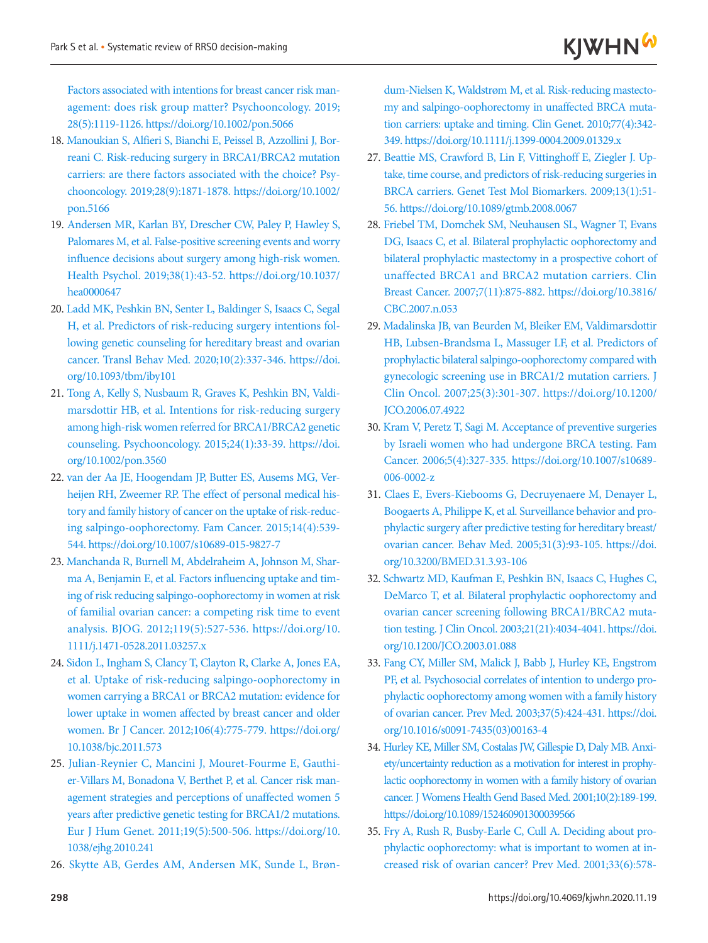Factors associated with intentions for breast cancer risk management: does risk group matter? Psychooncology. 2019; 28(5):1119-1126. https://doi.org/10.1002/pon.5066

- <span id="page-13-7"></span>18. Manoukian S, Alfieri S, Bianchi E, Peissel B, Azzollini J, Borreani C. Risk-reducing surgery in BRCA1/BRCA2 mutation carriers: are there factors associated with the choice? Psychooncology. 2019;28(9):1871-1878. https://doi.org/10.1002/ pon.5166
- 19. Andersen MR, Karlan BY, Drescher CW, Pal[ey P, Hawley S,](https://doi.org/10.1037/hea0000647) [Palomares M, et al. False-positive screening events and worry](https://doi.org/10.1037/hea0000647) [influence decisions about surgery among high-risk women.](https://doi.org/10.1037/hea0000647) [Health Psychol. 2019;38\(1\):43-52. https://doi.org/10.1037/](https://doi.org/10.1037/hea0000647) [hea0000647](https://doi.org/10.1037/hea0000647)
- <span id="page-13-1"></span>20. Ladd MK, Peshkin BN, Senter L, Baldinger S, Isaacs C, Segal H, et al. Predictors of risk-reducing surgery intentions following genetic counseling for hereditary breast and ovarian cance[r. Transl Behav Med. 2020;10\(2\):337-346. https://doi.](https://doi.org/10.1093/tbm/iby101) [org/10.1093/tbm/iby101](https://doi.org/10.1093/tbm/iby101)
- 21. [Tong A, Kelly S, Nusbaum R, Graves K, Peshkin BN, Valdi](https://doi.org/10.1002/pon.3560)[marsdottir HB, et al. Intentions for risk-reducing surgery](https://doi.org/10.1002/pon.3560) [among high-risk women referred for BRCA1/BRCA2 genetic](https://doi.org/10.1002/pon.3560) [counseling. Psychooncology. 2015;24\(1\):33-39. https://doi.](https://doi.org/10.1002/pon.3560) [org/10.1002/pon.3560](https://doi.org/10.1002/pon.3560)
- 22. [van der Aa JE, Hoogendam JP, Butter ES, Ausems MG, Ver](https://doi.org/10.1007/s10689-015-9827-7)[heijen RH, Zweemer RP. The effect of personal medical his](https://doi.org/10.1007/s10689-015-9827-7)[tory and family history of cancer on the uptake of risk-reduc](https://doi.org/10.1007/s10689-015-9827-7)[ing salpingo-oophorectomy. Fam Cancer. 2015;14\(4\):539-](https://doi.org/10.1007/s10689-015-9827-7) [544. https://doi.org/10.1007/](https://doi.org/10.1007/s10689-015-9827-7)s10689-015-9827-7
- 23. [Manchanda R, Burnell M, Abdelraheim A, Johnson M, Shar](https://doi.org/10.1111/j.1471-0528.2011.03257.x)[ma A, Benjamin E, et al. Factors influencing uptake and tim](https://doi.org/10.1111/j.1471-0528.2011.03257.x)[ing of risk reducing salpingo-oophorectomy in women at risk](https://doi.org/10.1111/j.1471-0528.2011.03257.x) [of familial ovarian cancer: a competing risk time to event](https://doi.org/10.1111/j.1471-0528.2011.03257.x) [analysis. BJOG. 2012;119\(5\):527-536. https://doi.org/10.](https://doi.org/10.1111/j.1471-0528.2011.03257.x) [1111/j.1471-0528.2011.03257.x](https://doi.org/10.1111/j.1471-0528.2011.03257.x)
- <span id="page-13-11"></span>24[. Sidon L, Ingham S, Clancy T, Clayton R, Clarke A, Jones EA,](https://doi.org/10.1038/bjc.2011.573) [et al. Uptake of risk-reducing salpingo-oophorectomy in](https://doi.org/10.1038/bjc.2011.573) [women carrying a BRCA1 or BRCA2 mutation: evidence for](https://doi.org/10.1038/bjc.2011.573) [lower uptake in women affected by breast cancer and older](https://doi.org/10.1038/bjc.2011.573) [women. Br J Cancer. 2012;106\(4\):775-779. https://doi.org/](https://doi.org/10.1038/bjc.2011.573) [10.1038/bjc.2011.573](https://doi.org/10.1038/bjc.2011.573)
- <span id="page-13-2"></span>25. [Julian-Reynier C, Mancini J, Mouret-Fourme E, Gauthi](https://doi.org/10.1038/ejhg.2010.241)[er-Villars M, Bonadona V, Berthet P, et al. Cancer risk man](https://doi.org/10.1038/ejhg.2010.241)[agement strategies and perceptions of unaffected women 5](https://doi.org/10.1038/ejhg.2010.241) [years after predictive genetic testing for BRCA1/2 mutations.](https://doi.org/10.1038/ejhg.2010.241) [Eur J Hum Genet. 2011;19\(5\):500-506. https://doi.org/10.](https://doi.org/10.1038/ejhg.2010.241) [1038/ejhg.2010.241](https://doi.org/10.1038/ejhg.2010.241)
- 26. Skytte AB, Gerdes AM, Andersen MK, Sunde L, Brøn-

dum-Nielsen K, Waldstrøm M, et al. Risk-reducing mastectomy and salpingo-oophorectomy in una[ffected BRCA muta](https://doi.org/10.1111/j.1399-0004.2009.01329.x)[tion carriers: uptake and timing. Clin Genet. 2010;77\(4\):342-](https://doi.org/10.1111/j.1399-0004.2009.01329.x) [349. https://doi.org/10.1111/](https://doi.org/10.1111/j.1399-0004.2009.01329.x)j.1399-0004.2009.01329.x

- <span id="page-13-9"></span>27. Beattie MS, Crawford B, Lin F, Vittinghoff E, Ziegler J. Upta[ke, time course, and predictors of risk-reducing surgeries in](https://doi.org/10.1089/gtmb.2008.0067)  [BRCA carriers. Genet Test Mol Biomarkers. 2009;13\(1\):51-](https://doi.org/10.1089/gtmb.2008.0067) [56. https://doi.org/10.1089/gtmb.2008.0067](https://doi.org/10.1089/gtmb.2008.0067)
- <span id="page-13-3"></span>28. Friebel TM, Domchek SM, Neuhausen SL, Wagner T, Evans DG, Isaacs C, et al. Bilateral prophylactic oophorectomy and bilateral prophylactic mastectomy in a prospect[ive cohort of](https://doi.org/10.3816/CBC.2007.n.053)  [unaffected BRCA1 and BRCA2 mutation carriers. Clin](https://doi.org/10.3816/CBC.2007.n.053)  [Breast Cancer. 2007;7\(11\):875-882.](https://doi.org/10.3816/CBC.2007.n.053) https://doi.org/10.3816/ CBC.2007.n.053
- <span id="page-13-8"></span><span id="page-13-4"></span>29. Madalinska JB, van Beurden M, Bleiker EM, Valdimarsdottir HB, Lubsen-Brandsma L, Massuger LF, et al. Predictors of prophylactic bilateral salpingo-oophorectomy compared with gynecologic screening use in BRCA1/2 mutation carriers. J Clin Oncol. 2007;25(3):301-307. https://doi.org/10.1200/ JCO.2006.07.4922
- <span id="page-13-5"></span>30. Kram V, Peretz T, Sagi M. Acceptance of preventive surgeries by Israeli w[omen who had undergone BRCA testing. Fam](https://doi.org/10.1007/s10689-006-0002-z)  [Cancer. 2006;5\(4\):327-335. https://doi.org/10.1007/s10689-](https://doi.org/10.1007/s10689-006-0002-z) [006-0002-z](https://doi.org/10.1007/s10689-006-0002-z)
- <span id="page-13-10"></span>31. Claes E, Evers-Kiebooms G, Decruyenaere M, Denayer L, Boogaerts A, Philippe K, et al. Surveillance behavior and prop[hylactic surgery after predictive testing for hereditary breast/](https://doi.org/10.3200/BMED.31.3.93-106) [ovarian cancer. Behav Med. 2005;31\(3\):93-105. https://doi.](https://doi.org/10.3200/BMED.31.3.93-106) [org/10.3200/BMED.31.3.93-106](https://doi.org/10.3200/BMED.31.3.93-106)
- 32. [Schwartz MD, Kaufman E, Peshkin BN, Isaacs C, Hughes C,](https://doi.org/10.1200/JCO.2003.01.088)  [DeMarco T, et al. Bilateral prophylactic oophorectomy and](https://doi.org/10.1200/JCO.2003.01.088)  [ovarian cancer screening following BRCA1/BRCA2 muta](https://doi.org/10.1200/JCO.2003.01.088)[tion testing. J Clin Oncol. 2003;21\(21\):4034-4041. https://doi.](https://doi.org/10.1200/JCO.2003.01.088) [org/10.1200/JCO.2003.01.088](https://doi.org/10.1200/JCO.2003.01.088)
- <span id="page-13-6"></span>33. [Fang CY, Miller SM, Malick J, Babb J, Hurley KE, Engstrom](https://doi.org/10.1016/s0091-7435(03)00163-4)  [PF, et al. Psychosocial correlates of intention to undergo pro](https://doi.org/10.1016/s0091-7435(03)00163-4)[phylactic oophorectomy among women with a family history](https://doi.org/10.1016/s0091-7435(03)00163-4)  [of ovarian cancer. Prev Med. 2003;37\(5\):424-431. https://doi.](https://doi.org/10.1016/s0091-7435(03)00163-4) [org/10.1016](https://doi.org/10.1016/s0091-7435(03)00163-4)/s0091-7435(03)00163-4
- <span id="page-13-0"></span>34. Hurley KE, Miller SM, Costalas JW, Gillespie D, Daly MB. Anxiety/uncertainty reduction as a motivation for interest in prop[hy](https://doi.org/10.1089/152460901300039566)[lactic oophorectomy in women with a family history of ovarian](https://doi.org/10.1089/152460901300039566)  [cancer. J Womens Health Gend Based Med. 2001;10\(2\):189-199.](https://doi.org/10.1089/152460901300039566)  [https://doi.org/1](https://doi.org/10.1089/152460901300039566)0.1089/152460901300039566
- 35. [Fry A, Rush R, Busby-Earle C, Cull A. Deciding about pro](https://doi.org/10.1006/pmed.2001.0924)[phylactic oophorectomy: what is important to women at in](https://doi.org/10.1006/pmed.2001.0924)[creased risk of ovarian cancer? Prev Med. 2001;33\(6\):578-](https://doi.org/10.1006/pmed.2001.0924)